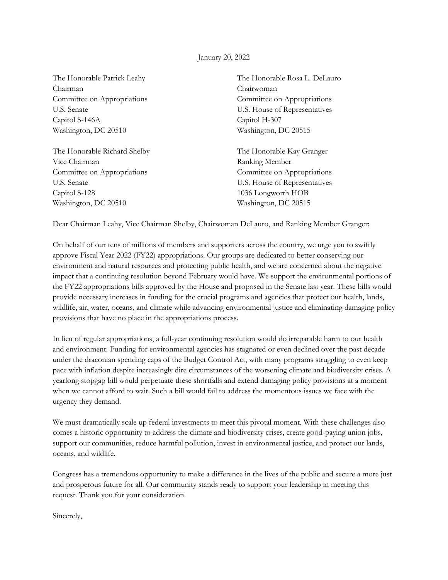## January 20, 2022

The Honorable Patrick Leahy Chairman Committee on Appropriations U.S. Senate Capitol S-146A Washington, DC 20510

The Honorable Richard Shelby Vice Chairman Committee on Appropriations U.S. Senate Capitol S-128 Washington, DC 20510

The Honorable Rosa L. DeLauro Chairwoman Committee on Appropriations U.S. House of Representatives Capitol H-307 Washington, DC 20515

The Honorable Kay Granger Ranking Member Committee on Appropriations U.S. House of Representatives 1036 Longworth HOB Washington, DC 20515

Dear Chairman Leahy, Vice Chairman Shelby, Chairwoman DeLauro, and Ranking Member Granger:

On behalf of our tens of millions of members and supporters across the country, we urge you to swiftly approve Fiscal Year 2022 (FY22) appropriations. Our groups are dedicated to better conserving our environment and natural resources and protecting public health, and we are concerned about the negative impact that a continuing resolution beyond February would have. We support the environmental portions of the FY22 appropriations bills approved by the House and proposed in the Senate last year. These bills would provide necessary increases in funding for the crucial programs and agencies that protect our health, lands, wildlife, air, water, oceans, and climate while advancing environmental justice and eliminating damaging policy provisions that have no place in the appropriations process.

In lieu of regular appropriations, a full-year continuing resolution would do irreparable harm to our health and environment. Funding for environmental agencies has stagnated or even declined over the past decade under the draconian spending caps of the Budget Control Act, with many programs struggling to even keep pace with inflation despite increasingly dire circumstances of the worsening climate and biodiversity crises. A yearlong stopgap bill would perpetuate these shortfalls and extend damaging policy provisions at a moment when we cannot afford to wait. Such a bill would fail to address the momentous issues we face with the urgency they demand.

We must dramatically scale up federal investments to meet this pivotal moment. With these challenges also comes a historic opportunity to address the climate and biodiversity crises, create good-paying union jobs, support our communities, reduce harmful pollution, invest in environmental justice, and protect our lands, oceans, and wildlife.

Congress has a tremendous opportunity to make a difference in the lives of the public and secure a more just and prosperous future for all. Our community stands ready to support your leadership in meeting this request. Thank you for your consideration.

Sincerely,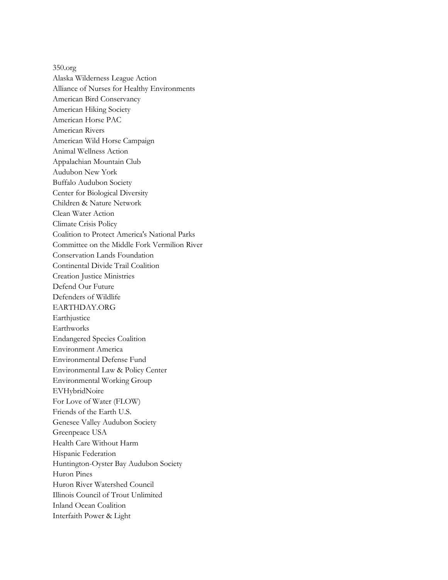350.org Alaska Wilderness League Action Alliance of Nurses for Healthy Environments American Bird Conservancy American Hiking Society American Horse PAC American Rivers American Wild Horse Campaign Animal Wellness Action Appalachian Mountain Club Audubon New York Buffalo Audubon Society Center for Biological Diversity Children & Nature Network Clean Water Action Climate Crisis Policy Coalition to Protect America's National Parks Committee on the Middle Fork Vermilion River Conservation Lands Foundation Continental Divide Trail Coalition Creation Justice Ministries Defend Our Future Defenders of Wildlife EARTHDAY.ORG Earthjustice Earthworks Endangered Species Coalition Environment America Environmental Defense Fund Environmental Law & Policy Center Environmental Working Group EVHybridNoire For Love of Water (FLOW) Friends of the Earth U.S. Genesee Valley Audubon Society Greenpeace USA Health Care Without Harm Hispanic Federation Huntington-Oyster Bay Audubon Society Huron Pines Huron River Watershed Council Illinois Council of Trout Unlimited Inland Ocean Coalition Interfaith Power & Light